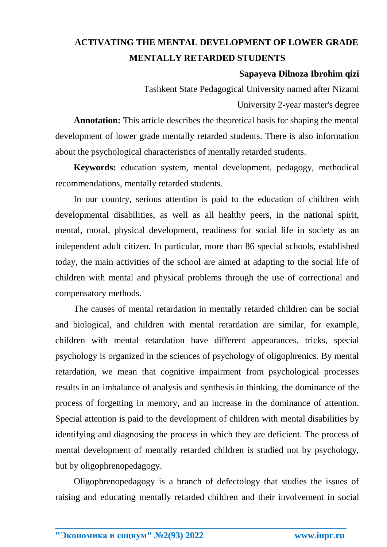## **ACTIVATING THE MENTAL DEVELOPMENT OF LOWER GRADE MENTALLY RETARDED STUDENTS**

## **Sapayeva Dilnoza Ibrohim qizi**

Tashkent State Pedagogical University named after Nizami University 2-year master's degree

**Annotation:** This article describes the theoretical basis for shaping the mental development of lower grade mentally retarded students. There is also information about the psychological characteristics of mentally retarded students.

**Keywords:** education system, mental development, pedagogy, methodical recommendations, mentally retarded students.

In our country, serious attention is paid to the education of children with developmental disabilities, as well as all healthy peers, in the national spirit, mental, moral, physical development, readiness for social life in society as an independent adult citizen. In particular, more than 86 special schools, established today, the main activities of the school are aimed at adapting to the social life of children with mental and physical problems through the use of correctional and compensatory methods.

The causes of mental retardation in mentally retarded children can be social and biological, and children with mental retardation are similar, for example, children with mental retardation have different appearances, tricks, special psychology is organized in the sciences of psychology of oligophrenics. By mental retardation, we mean that cognitive impairment from psychological processes results in an imbalance of analysis and synthesis in thinking, the dominance of the process of forgetting in memory, and an increase in the dominance of attention. Special attention is paid to the development of children with mental disabilities by identifying and diagnosing the process in which they are deficient. The process of mental development of mentally retarded children is studied not by psychology, but by oligophrenopedagogy.

Oligophrenopedagogy is a branch of defectology that studies the issues of raising and educating mentally retarded children and their involvement in social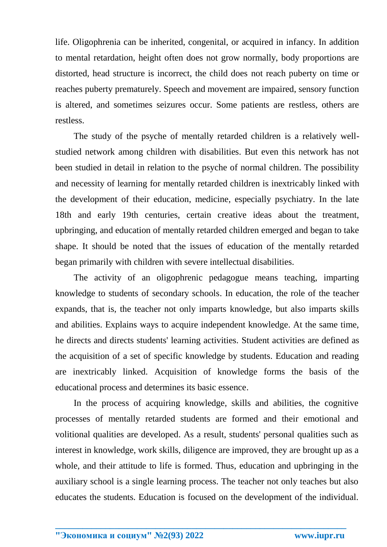life. Oligophrenia can be inherited, congenital, or acquired in infancy. In addition to mental retardation, height often does not grow normally, body proportions are distorted, head structure is incorrect, the child does not reach puberty on time or reaches puberty prematurely. Speech and movement are impaired, sensory function is altered, and sometimes seizures occur. Some patients are restless, others are restless.

The study of the psyche of mentally retarded children is a relatively wellstudied network among children with disabilities. But even this network has not been studied in detail in relation to the psyche of normal children. The possibility and necessity of learning for mentally retarded children is inextricably linked with the development of their education, medicine, especially psychiatry. In the late 18th and early 19th centuries, certain creative ideas about the treatment, upbringing, and education of mentally retarded children emerged and began to take shape. It should be noted that the issues of education of the mentally retarded began primarily with children with severe intellectual disabilities.

The activity of an oligophrenic pedagogue means teaching, imparting knowledge to students of secondary schools. In education, the role of the teacher expands, that is, the teacher not only imparts knowledge, but also imparts skills and abilities. Explains ways to acquire independent knowledge. At the same time, he directs and directs students' learning activities. Student activities are defined as the acquisition of a set of specific knowledge by students. Education and reading are inextricably linked. Acquisition of knowledge forms the basis of the educational process and determines its basic essence.

In the process of acquiring knowledge, skills and abilities, the cognitive processes of mentally retarded students are formed and their emotional and volitional qualities are developed. As a result, students' personal qualities such as interest in knowledge, work skills, diligence are improved, they are brought up as a whole, and their attitude to life is formed. Thus, education and upbringing in the auxiliary school is a single learning process. The teacher not only teaches but also educates the students. Education is focused on the development of the individual.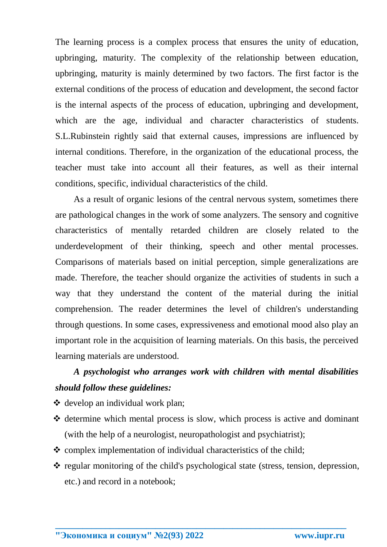The learning process is a complex process that ensures the unity of education, upbringing, maturity. The complexity of the relationship between education, upbringing, maturity is mainly determined by two factors. The first factor is the external conditions of the process of education and development, the second factor is the internal aspects of the process of education, upbringing and development, which are the age, individual and character characteristics of students. S.L.Rubinstein rightly said that external causes, impressions are influenced by internal conditions. Therefore, in the organization of the educational process, the teacher must take into account all their features, as well as their internal conditions, specific, individual characteristics of the child.

As a result of organic lesions of the central nervous system, sometimes there are pathological changes in the work of some analyzers. The sensory and cognitive characteristics of mentally retarded children are closely related to the underdevelopment of their thinking, speech and other mental processes. Comparisons of materials based on initial perception, simple generalizations are made. Therefore, the teacher should organize the activities of students in such a way that they understand the content of the material during the initial comprehension. The reader determines the level of children's understanding through questions. In some cases, expressiveness and emotional mood also play an important role in the acquisition of learning materials. On this basis, the perceived learning materials are understood.

## *A psychologist who arranges work with children with mental disabilities should follow these guidelines:*

- develop an individual work plan;
- $\triangle$  determine which mental process is slow, which process is active and dominant (with the help of a neurologist, neuropathologist and psychiatrist);
- $\triangle$  complex implementation of individual characteristics of the child;
- $\cdot$  regular monitoring of the child's psychological state (stress, tension, depression, etc.) and record in a notebook;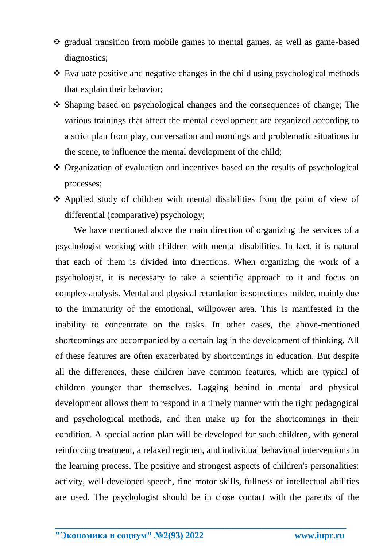- \* gradual transition from mobile games to mental games, as well as game-based diagnostics;
- Evaluate positive and negative changes in the child using psychological methods that explain their behavior;
- Shaping based on psychological changes and the consequences of change; The various trainings that affect the mental development are organized according to a strict plan from play, conversation and mornings and problematic situations in the scene, to influence the mental development of the child;
- Organization of evaluation and incentives based on the results of psychological processes;
- Applied study of children with mental disabilities from the point of view of differential (comparative) psychology;

We have mentioned above the main direction of organizing the services of a psychologist working with children with mental disabilities. In fact, it is natural that each of them is divided into directions. When organizing the work of a psychologist, it is necessary to take a scientific approach to it and focus on complex analysis. Mental and physical retardation is sometimes milder, mainly due to the immaturity of the emotional, willpower area. This is manifested in the inability to concentrate on the tasks. In other cases, the above-mentioned shortcomings are accompanied by a certain lag in the development of thinking. All of these features are often exacerbated by shortcomings in education. But despite all the differences, these children have common features, which are typical of children younger than themselves. Lagging behind in mental and physical development allows them to respond in a timely manner with the right pedagogical and psychological methods, and then make up for the shortcomings in their condition. A special action plan will be developed for such children, with general reinforcing treatment, a relaxed regimen, and individual behavioral interventions in the learning process. The positive and strongest aspects of children's personalities: activity, well-developed speech, fine motor skills, fullness of intellectual abilities are used. The psychologist should be in close contact with the parents of the